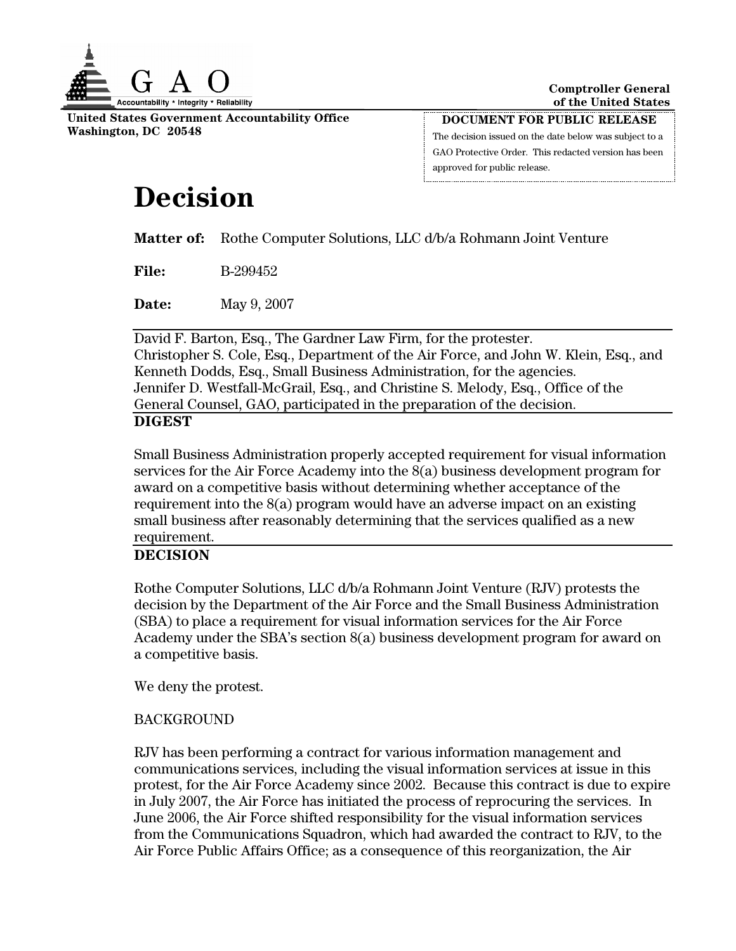

**United States Government Accountability Office Washington, DC 20548** 

**DOCUMENT FOR PUBLIC RELEASE** The decision issued on the date below was subject to a GAO Protective Order. This redacted version has been approved for public release.

# **Decision**

**Matter of:** Rothe Computer Solutions, LLC d/b/a Rohmann Joint Venture

**File:** B-299452

**Date:** May 9, 2007

David F. Barton, Esq., The Gardner Law Firm, for the protester. Christopher S. Cole, Esq., Department of the Air Force, and John W. Klein, Esq., and Kenneth Dodds, Esq., Small Business Administration, for the agencies. Jennifer D. Westfall-McGrail, Esq., and Christine S. Melody, Esq., Office of the General Counsel, GAO, participated in the preparation of the decision.

## **DIGEST**

Small Business Administration properly accepted requirement for visual information services for the Air Force Academy into the 8(a) business development program for award on a competitive basis without determining whether acceptance of the requirement into the 8(a) program would have an adverse impact on an existing small business after reasonably determining that the services qualified as a new requirement.

# **DECISION**

Rothe Computer Solutions, LLC d/b/a Rohmann Joint Venture (RJV) protests the decision by the Department of the Air Force and the Small Business Administration (SBA) to place a requirement for visual information services for the Air Force Academy under the SBA's section 8(a) business development program for award on a competitive basis.

We deny the protest.

## **BACKGROUND**

RJV has been performing a contract for various information management and communications services, including the visual information services at issue in this protest, for the Air Force Academy since 2002. Because this contract is due to expire in July 2007, the Air Force has initiated the process of reprocuring the services. In June 2006, the Air Force shifted responsibility for the visual information services from the Communications Squadron, which had awarded the contract to RJV, to the Air Force Public Affairs Office; as a consequence of this reorganization, the Air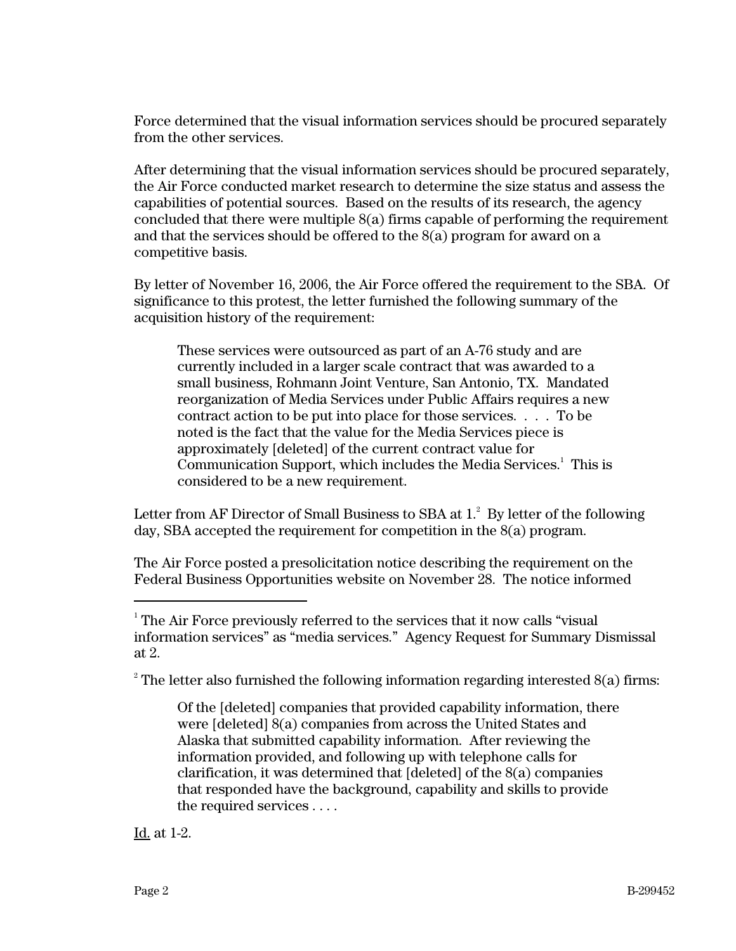Force determined that the visual information services should be procured separately from the other services.

After determining that the visual information services should be procured separately, the Air Force conducted market research to determine the size status and assess the capabilities of potential sources. Based on the results of its research, the agency concluded that there were multiple 8(a) firms capable of performing the requirement and that the services should be offered to the 8(a) program for award on a competitive basis.

By letter of November 16, 2006, the Air Force offered the requirement to the SBA. Of significance to this protest, the letter furnished the following summary of the acquisition history of the requirement:

These services were outsourced as part of an A-76 study and are currently included in a larger scale contract that was awarded to a small business, Rohmann Joint Venture, San Antonio, TX. Mandated reorganization of Media Services under Public Affairs requires a new contract action to be put into place for those services. . . . To be noted is the fact that the value for the Media Services piece is approximately [deleted] of the current contract value for Communication Support, which includes the Media Services.<sup>1</sup> This is considered to be a new requirement.

Letter from AF Director of Small Business to SBA at  $1.^{2}\,$  By letter of the following day, SBA accepted the requirement for competition in the 8(a) program.

The Air Force posted a presolicitation notice describing the requirement on the Federal Business Opportunities website on November 28. The notice informed

<sup>2</sup> The letter also furnished the following information regarding interested  $8(a)$  firms:

Of the [deleted] companies that provided capability information, there were [deleted] 8(a) companies from across the United States and Alaska that submitted capability information. After reviewing the information provided, and following up with telephone calls for clarification, it was determined that [deleted] of the 8(a) companies that responded have the background, capability and skills to provide the required services . . . .

Id. at 1-2.

 $\frac{1}{1}$  The Air Force previously referred to the services that it now calls "visual information services" as "media services." Agency Request for Summary Dismissal at 2.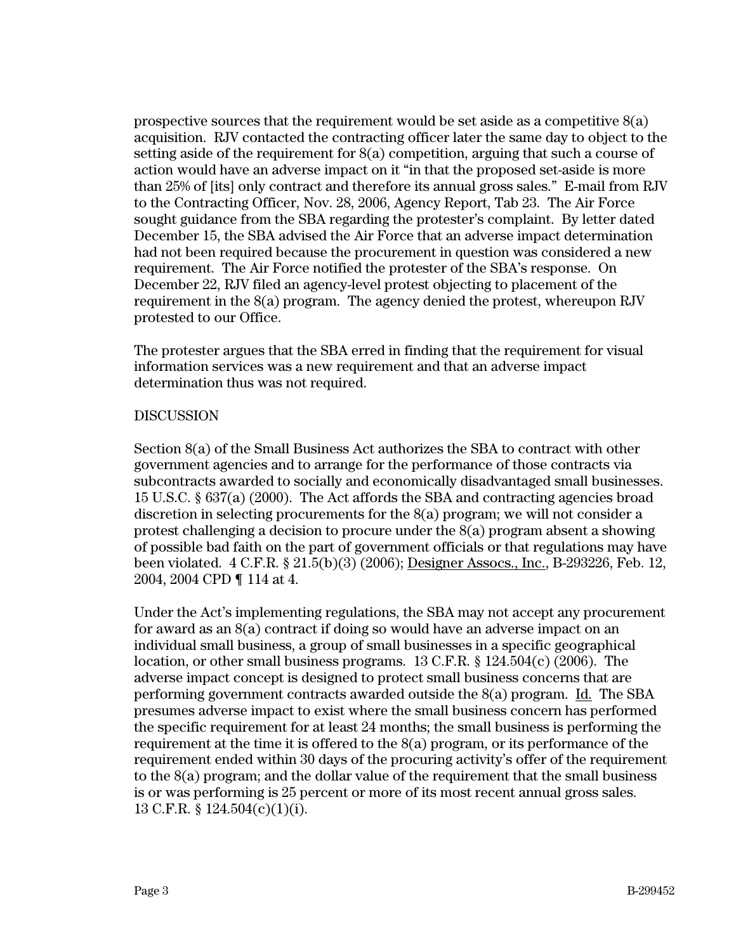prospective sources that the requirement would be set aside as a competitive  $8(a)$ acquisition. RJV contacted the contracting officer later the same day to object to the setting aside of the requirement for 8(a) competition, arguing that such a course of action would have an adverse impact on it "in that the proposed set-aside is more than 25% of [its] only contract and therefore its annual gross sales." E-mail from RJV to the Contracting Officer, Nov. 28, 2006, Agency Report, Tab 23. The Air Force sought guidance from the SBA regarding the protester's complaint. By letter dated December 15, the SBA advised the Air Force that an adverse impact determination had not been required because the procurement in question was considered a new requirement. The Air Force notified the protester of the SBA's response. On December 22, RJV filed an agency-level protest objecting to placement of the requirement in the 8(a) program. The agency denied the protest, whereupon RJV protested to our Office.

The protester argues that the SBA erred in finding that the requirement for visual information services was a new requirement and that an adverse impact determination thus was not required.

#### DISCUSSION

Section 8(a) of the Small Business Act authorizes the SBA to contract with other government agencies and to arrange for the performance of those contracts via subcontracts awarded to socially and economically disadvantaged small businesses. 15 U.S.C. § 637(a) (2000). The Act affords the SBA and contracting agencies broad discretion in selecting procurements for the 8(a) program; we will not consider a protest challenging a decision to procure under the 8(a) program absent a showing of possible bad faith on the part of government officials or that regulations may have been violated. 4 C.F.R. § 21.5(b)(3) (2006); Designer Assocs., Inc., B-293226, Feb. 12, 2004, 2004 CPD ¶ 114 at 4.

Under the Act's implementing regulations, the SBA may not accept any procurement for award as an 8(a) contract if doing so would have an adverse impact on an individual small business, a group of small businesses in a specific geographical location, or other small business programs. 13 C.F.R. § 124.504(c) (2006). The adverse impact concept is designed to protect small business concerns that are performing government contracts awarded outside the 8(a) program. Id. The SBA presumes adverse impact to exist where the small business concern has performed the specific requirement for at least 24 months; the small business is performing the requirement at the time it is offered to the  $S(a)$  program, or its performance of the requirement ended within 30 days of the procuring activity's offer of the requirement to the 8(a) program; and the dollar value of the requirement that the small business is or was performing is 25 percent or more of its most recent annual gross sales. 13 C.F.R. § 124.504(c)(1)(i).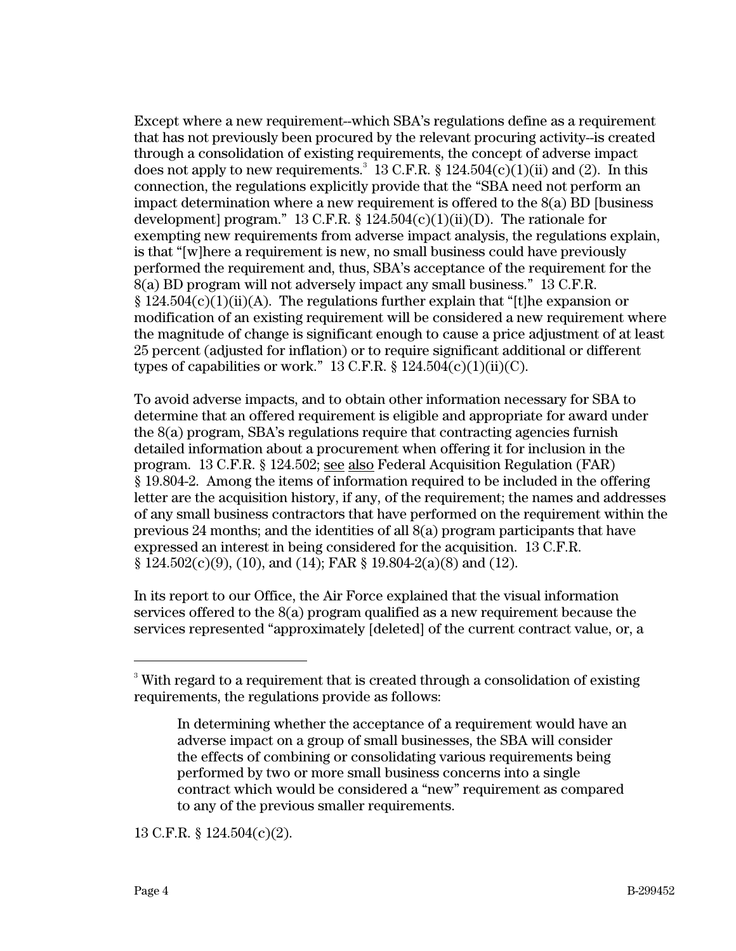Except where a new requirement--which SBA's regulations define as a requirement that has not previously been procured by the relevant procuring activity--is created through a consolidation of existing requirements, the concept of adverse impact does not apply to new requirements.<sup>3</sup> 13 C.F.R. § 124.504(c)(1)(ii) and (2). In this connection, the regulations explicitly provide that the "SBA need not perform an impact determination where a new requirement is offered to the  $8(a)$  BD [business] development] program." 13 C.F.R. § 124.504(c)(1)(ii)(D). The rationale for exempting new requirements from adverse impact analysis, the regulations explain, is that "[w]here a requirement is new, no small business could have previously performed the requirement and, thus, SBA's acceptance of the requirement for the 8(a) BD program will not adversely impact any small business." 13 C.F.R.  $\S 124.504(c)(1)(ii)(A)$ . The regulations further explain that "[t]he expansion or modification of an existing requirement will be considered a new requirement where the magnitude of change is significant enough to cause a price adjustment of at least 25 percent (adjusted for inflation) or to require significant additional or different types of capabilities or work." 13 C.F.R.  $\S$  124.504(c)(1)(ii)(C).

To avoid adverse impacts, and to obtain other information necessary for SBA to determine that an offered requirement is eligible and appropriate for award under the 8(a) program, SBA's regulations require that contracting agencies furnish detailed information about a procurement when offering it for inclusion in the program. 13 C.F.R. § 124.502; see also Federal Acquisition Regulation (FAR) § 19.804-2. Among the items of information required to be included in the offering letter are the acquisition history, if any, of the requirement; the names and addresses of any small business contractors that have performed on the requirement within the previous 24 months; and the identities of all 8(a) program participants that have expressed an interest in being considered for the acquisition. 13 C.F.R.  $\S 124.502(c)(9)$ , (10), and (14); FAR  $\S 19.804-2(a)(8)$  and (12).

In its report to our Office, the Air Force explained that the visual information services offered to the  $8(a)$  program qualified as a new requirement because the services represented "approximately [deleted] of the current contract value, or, a

13 C.F.R. § 124.504(c)(2).

<sup>-&</sup>lt;br>3 <sup>3</sup> With regard to a requirement that is created through a consolidation of existing requirements, the regulations provide as follows:

In determining whether the acceptance of a requirement would have an adverse impact on a group of small businesses, the SBA will consider the effects of combining or consolidating various requirements being performed by two or more small business concerns into a single contract which would be considered a "new" requirement as compared to any of the previous smaller requirements.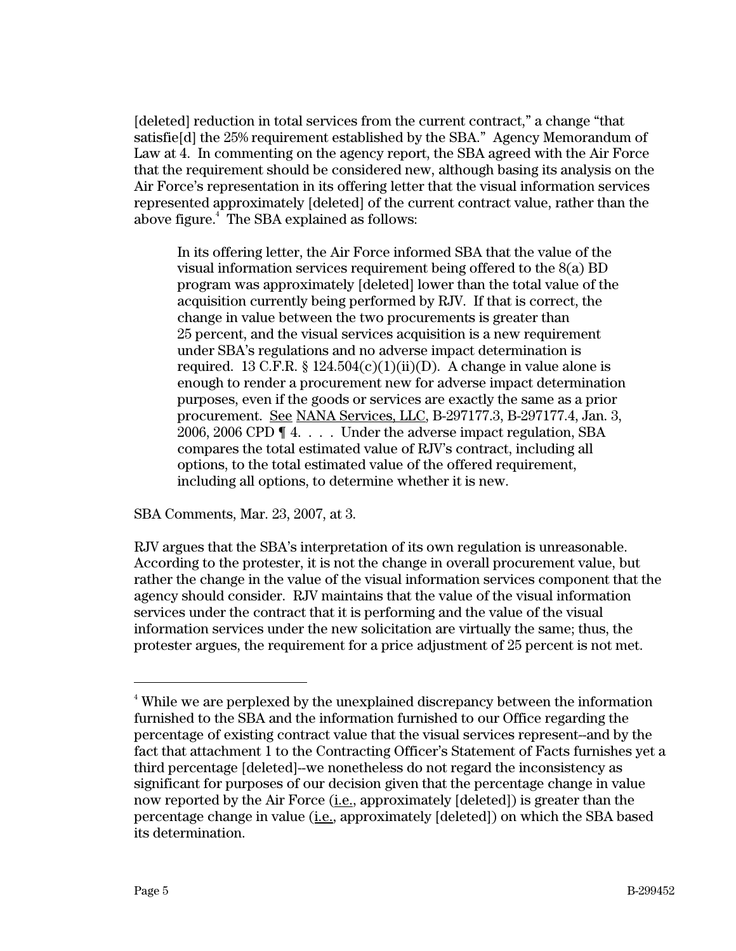[deleted] reduction in total services from the current contract," a change "that satisfie[d] the 25% requirement established by the SBA." Agency Memorandum of Law at 4. In commenting on the agency report, the SBA agreed with the Air Force that the requirement should be considered new, although basing its analysis on the Air Force's representation in its offering letter that the visual information services represented approximately [deleted] of the current contract value, rather than the above figure.<sup>4</sup> The SBA explained as follows:

In its offering letter, the Air Force informed SBA that the value of the visual information services requirement being offered to the 8(a) BD program was approximately [deleted] lower than the total value of the acquisition currently being performed by RJV. If that is correct, the change in value between the two procurements is greater than 25 percent, and the visual services acquisition is a new requirement under SBA's regulations and no adverse impact determination is required. 13 C.F.R. § 124.504(c)(1)(ii)(D). A change in value alone is enough to render a procurement new for adverse impact determination purposes, even if the goods or services are exactly the same as a prior procurement. See NANA Services, LLC, B-297177.3, B-297177.4, Jan. 3, 2006, 2006 CPD ¶ 4. . . . Under the adverse impact regulation, SBA compares the total estimated value of RJV's contract, including all options, to the total estimated value of the offered requirement, including all options, to determine whether it is new.

SBA Comments, Mar. 23, 2007, at 3.

RJV argues that the SBA's interpretation of its own regulation is unreasonable. According to the protester, it is not the change in overall procurement value, but rather the change in the value of the visual information services component that the agency should consider. RJV maintains that the value of the visual information services under the contract that it is performing and the value of the visual information services under the new solicitation are virtually the same; thus, the protester argues, the requirement for a price adjustment of 25 percent is not met.

 $\frac{1}{4}$ <sup>4</sup> While we are perplexed by the unexplained discrepancy between the information furnished to the SBA and the information furnished to our Office regarding the percentage of existing contract value that the visual services represent--and by the fact that attachment 1 to the Contracting Officer's Statement of Facts furnishes yet a third percentage [deleted]--we nonetheless do not regard the inconsistency as significant for purposes of our decision given that the percentage change in value now reported by the Air Force (i.e., approximately [deleted]) is greater than the percentage change in value (i.e., approximately [deleted]) on which the SBA based its determination.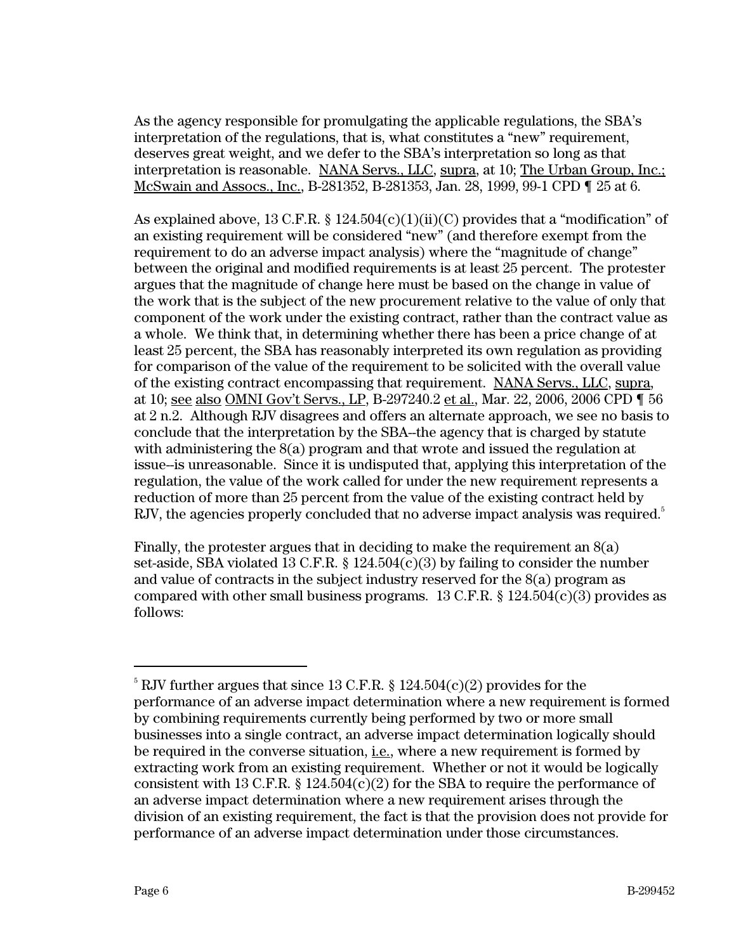As the agency responsible for promulgating the applicable regulations, the SBA's interpretation of the regulations, that is, what constitutes a "new" requirement, deserves great weight, and we defer to the SBA's interpretation so long as that interpretation is reasonable. NANA Servs., LLC, supra, at 10; The Urban Group, Inc.; McSwain and Assocs., Inc., B-281352, B-281353, Jan. 28, 1999, 99-1 CPD ¶ 25 at 6.

As explained above, 13 C.F.R. § 124.504(c)(1)(ii)(C) provides that a "modification" of an existing requirement will be considered "new" (and therefore exempt from the requirement to do an adverse impact analysis) where the "magnitude of change" between the original and modified requirements is at least 25 percent. The protester argues that the magnitude of change here must be based on the change in value of the work that is the subject of the new procurement relative to the value of only that component of the work under the existing contract, rather than the contract value as a whole. We think that, in determining whether there has been a price change of at least 25 percent, the SBA has reasonably interpreted its own regulation as providing for comparison of the value of the requirement to be solicited with the overall value of the existing contract encompassing that requirement. NANA Servs., LLC, supra, at 10; see also OMNI Gov't Servs., LP, B-297240.2 et al., Mar. 22, 2006, 2006 CPD ¶ 56 at 2 n.2. Although RJV disagrees and offers an alternate approach, we see no basis to conclude that the interpretation by the SBA--the agency that is charged by statute with administering the 8(a) program and that wrote and issued the regulation at issue--is unreasonable. Since it is undisputed that, applying this interpretation of the regulation, the value of the work called for under the new requirement represents a reduction of more than 25 percent from the value of the existing contract held by RJV, the agencies properly concluded that no adverse impact analysis was required.<sup>5</sup>

Finally, the protester argues that in deciding to make the requirement an 8(a) set-aside, SBA violated 13 C.F.R.  $\S$  124.504(c)(3) by failing to consider the number and value of contracts in the subject industry reserved for the 8(a) program as compared with other small business programs.  $13 \text{ C.F.R.}$  §  $124.504(c)(3)$  provides as follows:

<sup>-&</sup>lt;br>5  $\degree$  RJV further argues that since 13 C.F.R. § 124.504(c)(2) provides for the performance of an adverse impact determination where a new requirement is formed by combining requirements currently being performed by two or more small businesses into a single contract, an adverse impact determination logically should be required in the converse situation, i.e., where a new requirement is formed by extracting work from an existing requirement. Whether or not it would be logically consistent with 13 C.F.R.  $\S 124.504(c)(2)$  for the SBA to require the performance of an adverse impact determination where a new requirement arises through the division of an existing requirement, the fact is that the provision does not provide for performance of an adverse impact determination under those circumstances.